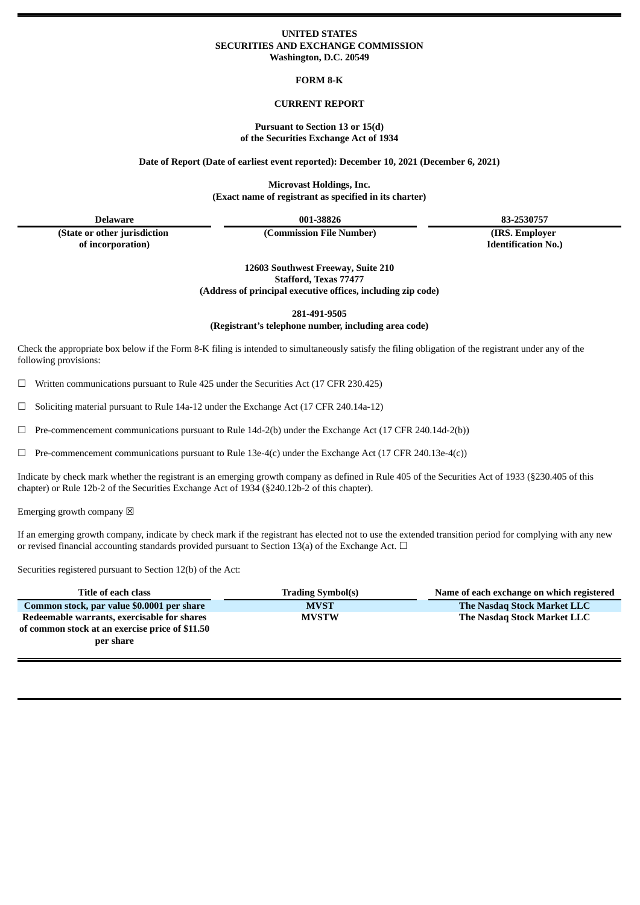## **UNITED STATES SECURITIES AND EXCHANGE COMMISSION Washington, D.C. 20549**

**FORM 8-K**

## **CURRENT REPORT**

### **Pursuant to Section 13 or 15(d) of the Securities Exchange Act of 1934**

**Date of Report (Date of earliest event reported): December 10, 2021 (December 6, 2021)**

**Microvast Holdings, Inc. (Exact name of registrant as specified in its charter)**

**(State or other jurisdiction of incorporation)**

**(Commission File Number) (IRS. Employer**

**Delaware 001-38826 83-2530757**

**Identification No.)**

**12603 Southwest Freeway, Suite 210 Stafford, Texas 77477 (Address of principal executive offices, including zip code)**

**281-491-9505**

**(Registrant's telephone number, including area code)**

Check the appropriate box below if the Form 8-K filing is intended to simultaneously satisfy the filing obligation of the registrant under any of the following provisions:

 $\Box$  Written communications pursuant to Rule 425 under the Securities Act (17 CFR 230.425)

 $\Box$  Soliciting material pursuant to Rule 14a-12 under the Exchange Act (17 CFR 240.14a-12)

 $\Box$  Pre-commencement communications pursuant to Rule 14d-2(b) under the Exchange Act (17 CFR 240.14d-2(b))

 $\Box$  Pre-commencement communications pursuant to Rule 13e-4(c) under the Exchange Act (17 CFR 240.13e-4(c))

Indicate by check mark whether the registrant is an emerging growth company as defined in Rule 405 of the Securities Act of 1933 (§230.405 of this chapter) or Rule 12b-2 of the Securities Exchange Act of 1934 (§240.12b-2 of this chapter).

Emerging growth company  $\boxtimes$ 

If an emerging growth company, indicate by check mark if the registrant has elected not to use the extended transition period for complying with any new or revised financial accounting standards provided pursuant to Section 13(a) of the Exchange Act.  $\Box$ 

Securities registered pursuant to Section 12(b) of the Act:

| Title of each class                                                                                         | <b>Trading Symbol(s)</b> | Name of each exchange on which registered |
|-------------------------------------------------------------------------------------------------------------|--------------------------|-------------------------------------------|
| Common stock, par value \$0.0001 per share                                                                  | <b>MVST</b>              | The Nasdag Stock Market LLC               |
| Redeemable warrants, exercisable for shares<br>of common stock at an exercise price of \$11.50<br>per share | <b>MVSTW</b>             | The Nasdag Stock Market LLC               |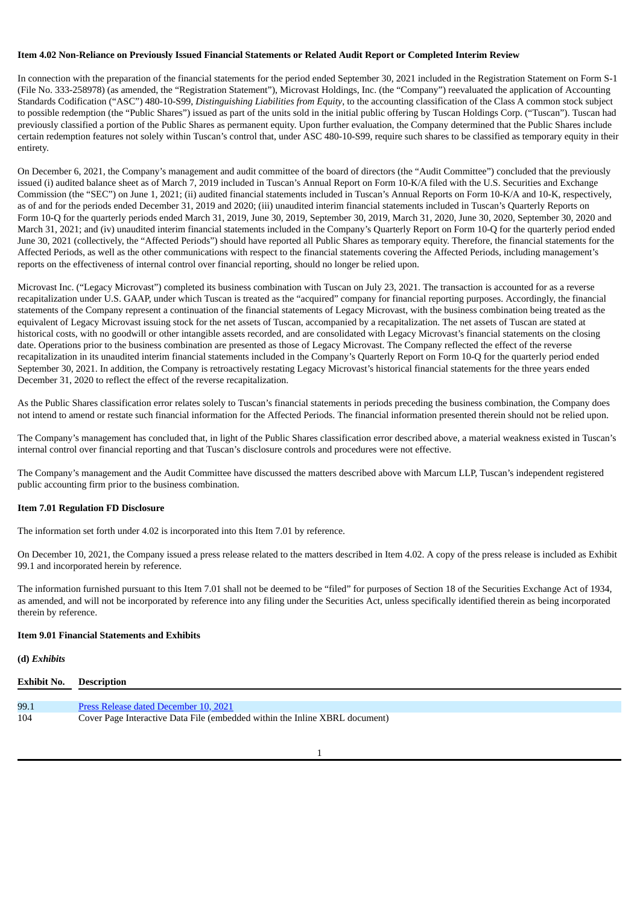### Item 4.02 Non-Reliance on Previously Issued Financial Statements or Related Audit Report or Completed Interim Review

In connection with the preparation of the financial statements for the period ended September 30, 2021 included in the Registration Statement on Form S-1 (File No. 333-258978) (as amended, the "Registration Statement"), Microvast Holdings, Inc. (the "Company") reevaluated the application of Accounting Standards Codification ("ASC") 480-10-S99, *Distinguishing Liabilities from Equity*, to the accounting classification of the Class A common stock subject to possible redemption (the "Public Shares") issued as part of the units sold in the initial public offering by Tuscan Holdings Corp. ("Tuscan"). Tuscan had previously classified a portion of the Public Shares as permanent equity. Upon further evaluation, the Company determined that the Public Shares include certain redemption features not solely within Tuscan's control that, under ASC 480-10-S99, require such shares to be classified as temporary equity in their entirety.

On December 6, 2021, the Company's management and audit committee of the board of directors (the "Audit Committee") concluded that the previously issued (i) audited balance sheet as of March 7, 2019 included in Tuscan's Annual Report on Form 10-K/A filed with the U.S. Securities and Exchange Commission (the "SEC") on June 1, 2021; (ii) audited financial statements included in Tuscan's Annual Reports on Form 10-K/A and 10-K, respectively, as of and for the periods ended December 31, 2019 and 2020; (iii) unaudited interim financial statements included in Tuscan's Quarterly Reports on Form 10-Q for the quarterly periods ended March 31, 2019, June 30, 2019, September 30, 2019, March 31, 2020, June 30, 2020, September 30, 2020 and March 31, 2021; and (iv) unaudited interim financial statements included in the Company's Quarterly Report on Form 10-Q for the quarterly period ended June 30, 2021 (collectively, the "Affected Periods") should have reported all Public Shares as temporary equity. Therefore, the financial statements for the Affected Periods, as well as the other communications with respect to the financial statements covering the Affected Periods, including management's reports on the effectiveness of internal control over financial reporting, should no longer be relied upon.

Microvast Inc. ("Legacy Microvast") completed its business combination with Tuscan on July 23, 2021. The transaction is accounted for as a reverse recapitalization under U.S. GAAP, under which Tuscan is treated as the "acquired" company for financial reporting purposes. Accordingly, the financial statements of the Company represent a continuation of the financial statements of Legacy Microvast, with the business combination being treated as the equivalent of Legacy Microvast issuing stock for the net assets of Tuscan, accompanied by a recapitalization. The net assets of Tuscan are stated at historical costs, with no goodwill or other intangible assets recorded, and are consolidated with Legacy Microvast's financial statements on the closing date. Operations prior to the business combination are presented as those of Legacy Microvast. The Company reflected the effect of the reverse recapitalization in its unaudited interim financial statements included in the Company's Quarterly Report on Form 10-Q for the quarterly period ended September 30, 2021. In addition, the Company is retroactively restating Legacy Microvast's historical financial statements for the three years ended December 31, 2020 to reflect the effect of the reverse recapitalization.

As the Public Shares classification error relates solely to Tuscan's financial statements in periods preceding the business combination, the Company does not intend to amend or restate such financial information for the Affected Periods. The financial information presented therein should not be relied upon.

The Company's management has concluded that, in light of the Public Shares classification error described above, a material weakness existed in Tuscan's internal control over financial reporting and that Tuscan's disclosure controls and procedures were not effective.

The Company's management and the Audit Committee have discussed the matters described above with Marcum LLP, Tuscan's independent registered public accounting firm prior to the business combination.

## **Item 7.01 Regulation FD Disclosure**

The information set forth under 4.02 is incorporated into this Item 7.01 by reference.

On December 10, 2021, the Company issued a press release related to the matters described in Item 4.02. A copy of the press release is included as Exhibit 99.1 and incorporated herein by reference.

The information furnished pursuant to this Item 7.01 shall not be deemed to be "filed" for purposes of Section 18 of the Securities Exchange Act of 1934, as amended, and will not be incorporated by reference into any filing under the Securities Act, unless specifically identified therein as being incorporated therein by reference.

### **Item 9.01 Financial Statements and Exhibits**

**(d)** *Exhibits*

| <b>Exhibit No. Description</b> |                                                                             |
|--------------------------------|-----------------------------------------------------------------------------|
|                                |                                                                             |
| 99.1                           | Press Release dated December 10, 2021                                       |
| 104                            | Cover Page Interactive Data File (embedded within the Inline XBRL document) |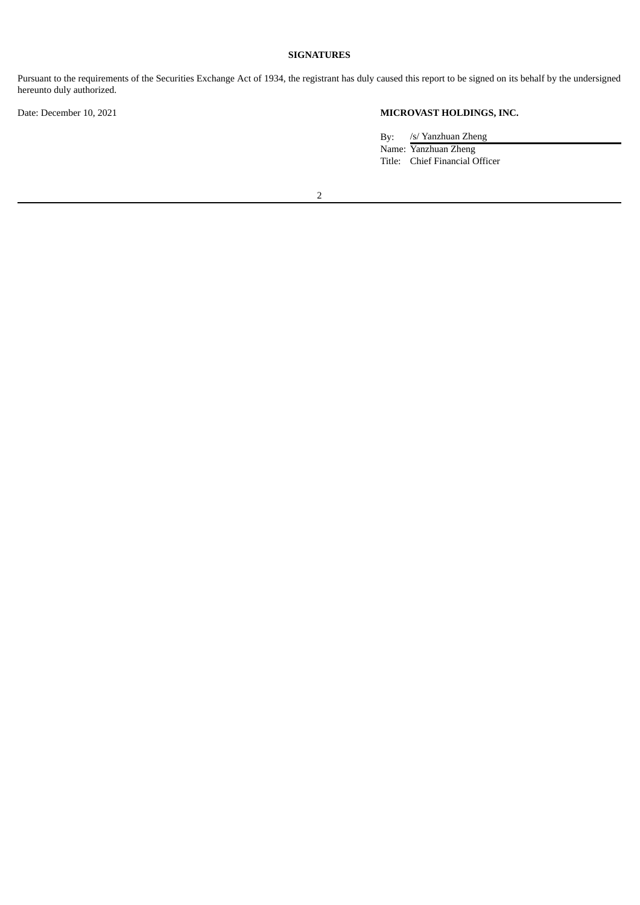## **SIGNATURES**

Pursuant to the requirements of the Securities Exchange Act of 1934, the registrant has duly caused this report to be signed on its behalf by the undersigned hereunto duly authorized.

# Date: December 10, 2021 **MICROVAST HOLDINGS, INC.**

By: /s/ Yanzhuan Zheng Name: Yanzhuan Zheng Title: Chief Financial Officer